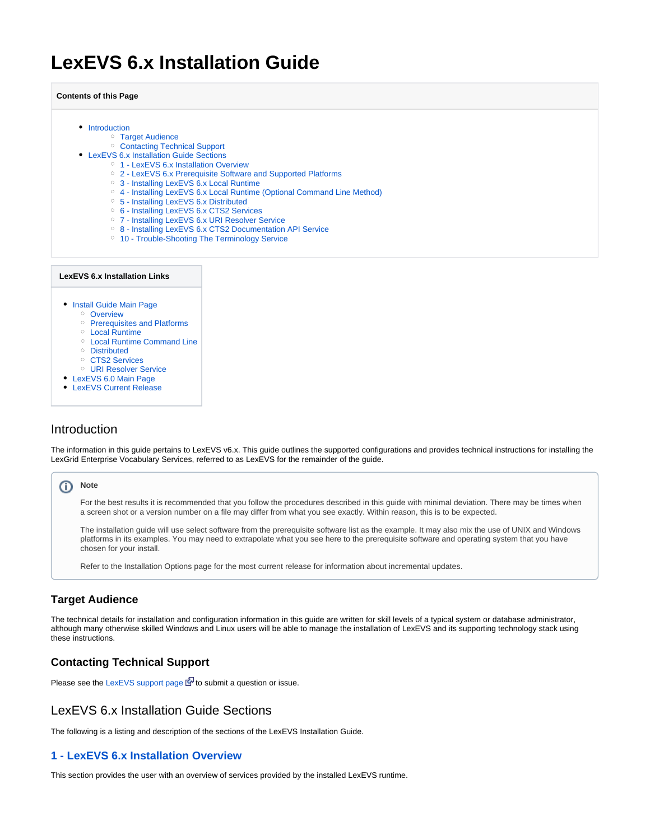# <span id="page-0-6"></span>**LexEVS 6.x Installation Guide**

#### **Contents of this Page**

- [Introduction](#page-0-0)
	- [Target Audience](#page-0-1)
		- [Contacting Technical Support](#page-0-2)
- [LexEVS 6.x Installation Guide Sections](#page-0-3) o [1 - LexEVS 6.x Installation Overview](#page-0-4)
	- [2 LexEVS 6.x Prerequisite Software and Supported Platforms](#page-0-5)
	- [3 Installing LexEVS 6.x Local Runtime](#page-1-0)
	- [4 Installing LexEVS 6.x Local Runtime \(Optional Command Line Method\)](#page-1-1)
	- [5 Installing LexEVS 6.x Distributed](#page-1-2)
	- [6 Installing LexEVS 6.x CTS2 Services](#page-1-3)
	- [7 Installing LexEVS 6.x URI Resolver Service](#page-1-4)
	- [8 Installing LexEVS 6.x CTS2 Documentation API Service](#page-1-5)
	- <sup>o</sup> [10 Trouble-Shooting The Terminology Service](#page-1-6)

#### **LexEVS 6.x Installation Links**

- **[Install Guide Main Page](#page-0-6)** 
	- <sup>o</sup> [Overview](https://wiki.nci.nih.gov/display/LexEVS/1+-+LexEVS+6.x+Installation+Overview)
	- o [Prerequisites and Platforms](https://wiki.nci.nih.gov/display/LexEVS/2+-+LexEVS+6.x+Prerequisite+Software+and+Supported+Platforms)
	- [Local Runtime](https://wiki.nci.nih.gov/display/LexEVS/3+-+Installing+LexEVS+6.x+Local+Runtime)
	- [Local Runtime Command Line](https://wiki.nci.nih.gov/pages/viewpage.action?pageId=62427333)
	- <sup>o</sup> [Distributed](https://wiki.nci.nih.gov/display/LexEVS/5+-+Installing+LexEVS+6.x+Distributed)
	- <sup>o</sup> [CTS2 Services](https://wiki.nci.nih.gov/display/LexEVS/6+-+Installing+LexEVS+6.x+CTS2+Services)
	- [URI Resolver Service](https://wiki.nci.nih.gov/display/LexEVS/7+-+Installing+LexEVS+6.x+URI+Resolver+Service)
- [LexEVS 6.0 Main Page](https://wiki.nci.nih.gov/display/LexEVS/LexEVS+6.0)
- [LexEVS Current Release](https://wiki.nci.nih.gov/display/LexEVS/LexEVS)

## <span id="page-0-0"></span>Introduction

The information in this guide pertains to LexEVS v6.x. This guide outlines the supported configurations and provides technical instructions for installing the LexGrid Enterprise Vocabulary Services, referred to as LexEVS for the remainder of the guide.

#### (i) Note

For the best results it is recommended that you follow the procedures described in this guide with minimal deviation. There may be times when a screen shot or a version number on a file may differ from what you see exactly. Within reason, this is to be expected.

The installation guide will use select software from the prerequisite software list as the example. It may also mix the use of UNIX and Windows platforms in its examples. You may need to extrapolate what you see here to the prerequisite software and operating system that you have chosen for your install.

Refer to the Installation Options page for the most current release for information about incremental updates.

## <span id="page-0-1"></span>**Target Audience**

The technical details for installation and configuration information in this guide are written for skill levels of a typical system or database administrator, although many otherwise skilled Windows and Linux users will be able to manage the installation of LexEVS and its supporting technology stack using these instructions.

## <span id="page-0-2"></span>**Contacting Technical Support**

Please see the [LexEVS support page](https://github.com/lexevs/lexevs/issues)  $\bar{\mathbb{F}}$  to submit a question or issue.

## <span id="page-0-3"></span>LexEVS 6.x Installation Guide Sections

The following is a listing and description of the sections of the LexEVS Installation Guide.

## <span id="page-0-4"></span>**[1 - LexEVS 6.x Installation Overview](https://wiki.nci.nih.gov/display/LexEVS/1+-+LexEVS+6.x+Installation+Overview)**

<span id="page-0-5"></span>This section provides the user with an overview of services provided by the installed LexEVS runtime.